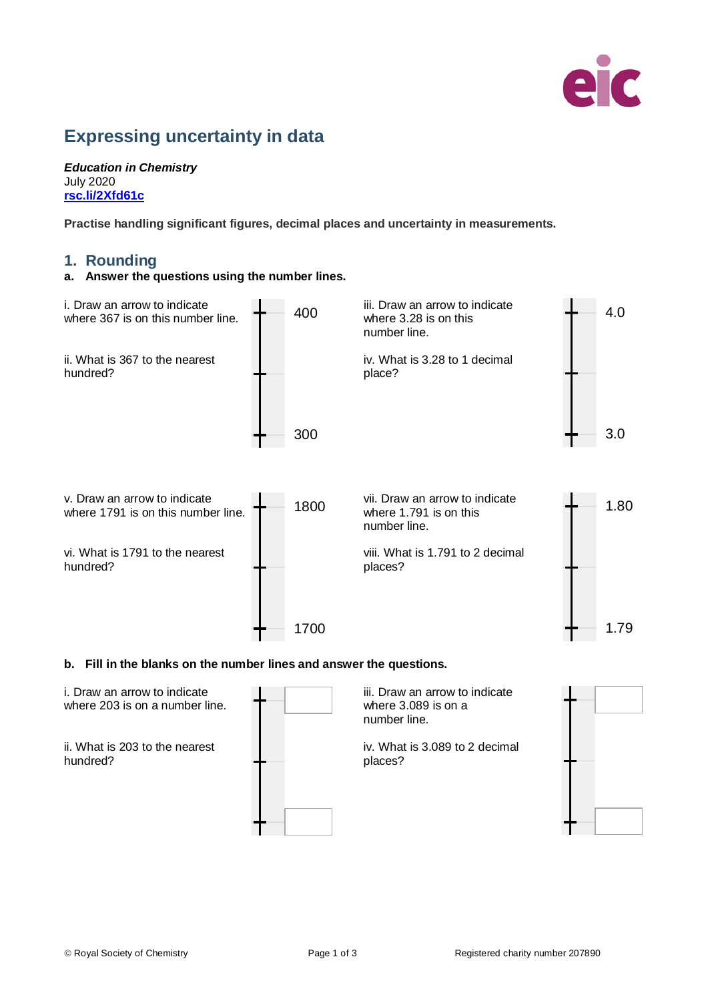

# **Expressing uncertainty in data**

*Education in Chemistry* July 2020 **[rsc.li/2Xfd61c](https://rsc.li/2Xfd61c)**

**Practise handling significant figures, decimal places and uncertainty in measurements.**

# **1. Rounding**

### **a. Answer the questions using the number lines.**



#### **b. Fill in the blanks on the number lines and answer the questions.**

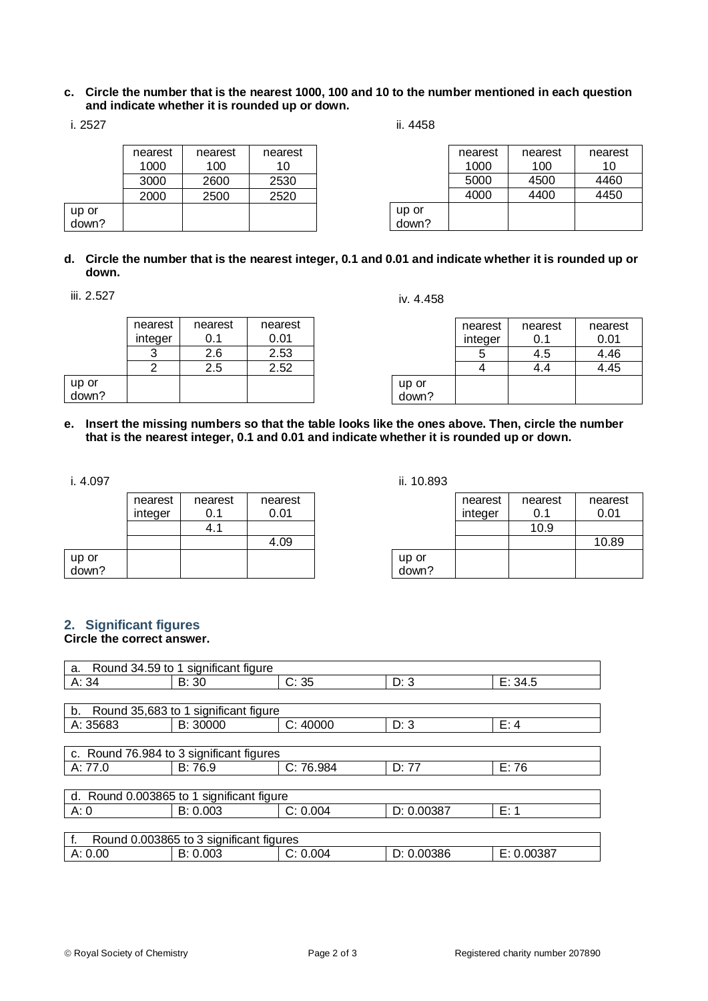#### **c. Circle the number that is the nearest 1000, 100 and 10 to the number mentioned in each question and indicate whether it is rounded up or down.**

ii. 4458

|       | nearest | nearest | nearest |       | nearest | nearest | nearest |
|-------|---------|---------|---------|-------|---------|---------|---------|
|       | 1000    | 100     | 10      |       | 1000    | 100     | 10      |
|       | 3000    | 2600    | 2530    |       | 5000    | 4500    | 4460    |
|       | 2000    | 2500    | 2520    |       | 4000    | 4400    | 4450    |
| up or |         |         |         | up or |         |         |         |
| down? |         |         |         | down? |         |         |         |

## **d. Circle the number that is the nearest integer, 0.1 and 0.01 and indicate whether it is rounded up or down.**

iii. 2.527

iv. 4.458

|                | nearest | nearest | nearest |
|----------------|---------|---------|---------|
|                | integer | 0.1     | 0.01    |
|                |         | 2.6     | 2.53    |
|                | 2       | 2.5     | 2.52    |
|                |         |         |         |
| up or<br>down? |         |         |         |

|       | nearest | nearest | nearest |
|-------|---------|---------|---------|
|       | integer | 0.1     | 0.01    |
|       |         | 4.5     | 4.46    |
|       |         | 14      | 4.45    |
| up or |         |         |         |
| down? |         |         |         |

**e. Insert the missing numbers so that the table looks like the ones above. Then, circle the number that is the nearest integer, 0.1 and 0.01 and indicate whether it is rounded up or down.**

i. 4.097

|                | nearest<br>integer | nearest<br>O 1 | nearest<br>0.01 |
|----------------|--------------------|----------------|-----------------|
|                |                    | 41             |                 |
|                |                    |                | 4.09            |
| up or<br>down? |                    |                |                 |

ii. 10.893

|       | nearest | nearest | nearest |
|-------|---------|---------|---------|
|       | integer | 0.1     | 0.01    |
|       |         | 10.9    |         |
|       |         |         | 10.89   |
| up or |         |         |         |
| down? |         |         |         |

# **2. Significant figures**

# **Circle the correct answer.**

| Round 34.59 to 1 significant figure<br>a. |                                          |           |            |            |  |  |  |
|-------------------------------------------|------------------------------------------|-----------|------------|------------|--|--|--|
| A: 34                                     | B: 30                                    | C: 35     | D: 3       | E: 34.5    |  |  |  |
|                                           |                                          |           |            |            |  |  |  |
| b.                                        | Round 35,683 to 1 significant figure     |           |            |            |  |  |  |
| A: 35683                                  | B: 30000                                 | C: 40000  | D: 3       | E: 4       |  |  |  |
|                                           |                                          |           |            |            |  |  |  |
|                                           | c. Round 76.984 to 3 significant figures |           |            |            |  |  |  |
| A: 77.0                                   | B: 76.9                                  | C: 76.984 | D: 77      | E: 76      |  |  |  |
|                                           |                                          |           |            |            |  |  |  |
| d. Round 0.003865 to 1 significant figure |                                          |           |            |            |  |  |  |
| A: 0                                      | B: 0.003                                 | C: 0.004  | D: 0.00387 | E: 1       |  |  |  |
|                                           |                                          |           |            |            |  |  |  |
| Round 0.003865 to 3 significant figures   |                                          |           |            |            |  |  |  |
| A: 0.00                                   | B: 0.003                                 | C: 0.004  | D: 0.00386 | E: 0.00387 |  |  |  |